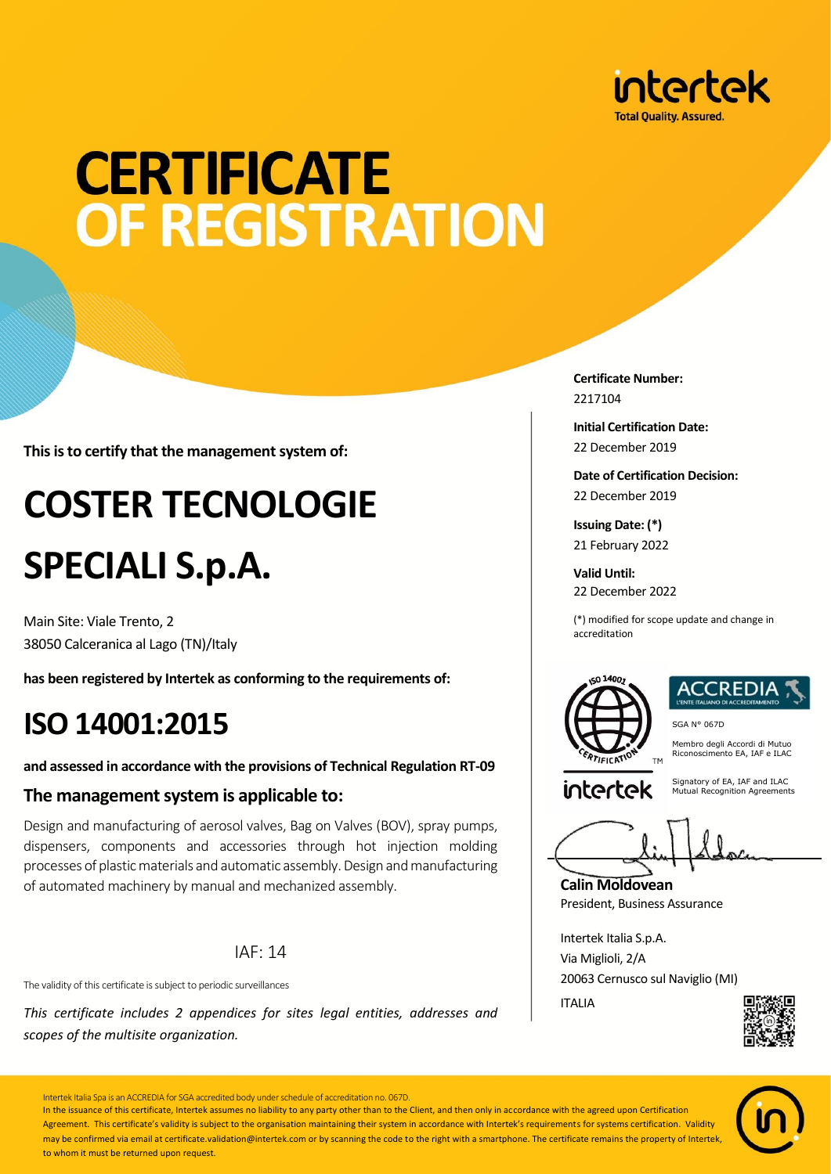

# **CERTIFICATE** OF REGISTRATION

**This is to certify that the management system of:**

## **COSTER TECNOLOGIE SPECIALI S.p.A.**

Main Site: Viale Trento, 2 38050 Calceranica al Lago (TN)/Italy

**has been registered by Intertek as conforming to the requirements of:**

### **ISO 14001:2015**

**and assessed in accordance with the provisions of Technical Regulation RT-09**

#### **The management system is applicable to:**

Design and manufacturing of aerosol valves, Bag on Valves (BOV), spray pumps, dispensers, components and accessories through hot injection molding processes of plastic materials and automatic assembly. Design and manufacturing of automated machinery by manual and mechanized assembly.

#### IAF: 14

The validity of this certificate is subject to periodic surveillances

*This certificate includes 2 appendices for sites legal entities, addresses and scopes of the multisite organization.*

**Certificate Number:** 2217104

**Initial Certification Date:** 22 December 2019

**Date of Certification Decision:** 22 December 2019

**Issuing Date: (\*)** 21 February 2022

**Valid Until:** 22 December 2022

(\*) modified for scope update and change in accreditation



SGA N° 067D Membro degli Accordi di Mutuo Riconoscimento EA, IAF e ILAC

intertek

Signatory of EA, IAF and ILAC Mutual Recognition Agreements

**Calin Moldovean** President, Business Assurance

Intertek Italia S.p.A. Via Miglioli, 2/A 20063 Cernusco sul Naviglio (MI) ITALIA





Intertek Italia Spa is an ACCREDIA for SGA accredited body under schedule of accreditation no. 067D.

In the issuance of this certificate, Intertek assumes no liability to any party other than to the Client, and then only in accordance with the agreed upon Certification Agreement. This certificate's validity is subject to the organisation maintaining their system in accordance with Intertek's requirements for systems certification. Validity may be confirmed via email at certificate.validation@intertek.com or by scanning the code to the right with a smartphone. The certificate remains the property of Intertek to whom it must be returned upon request.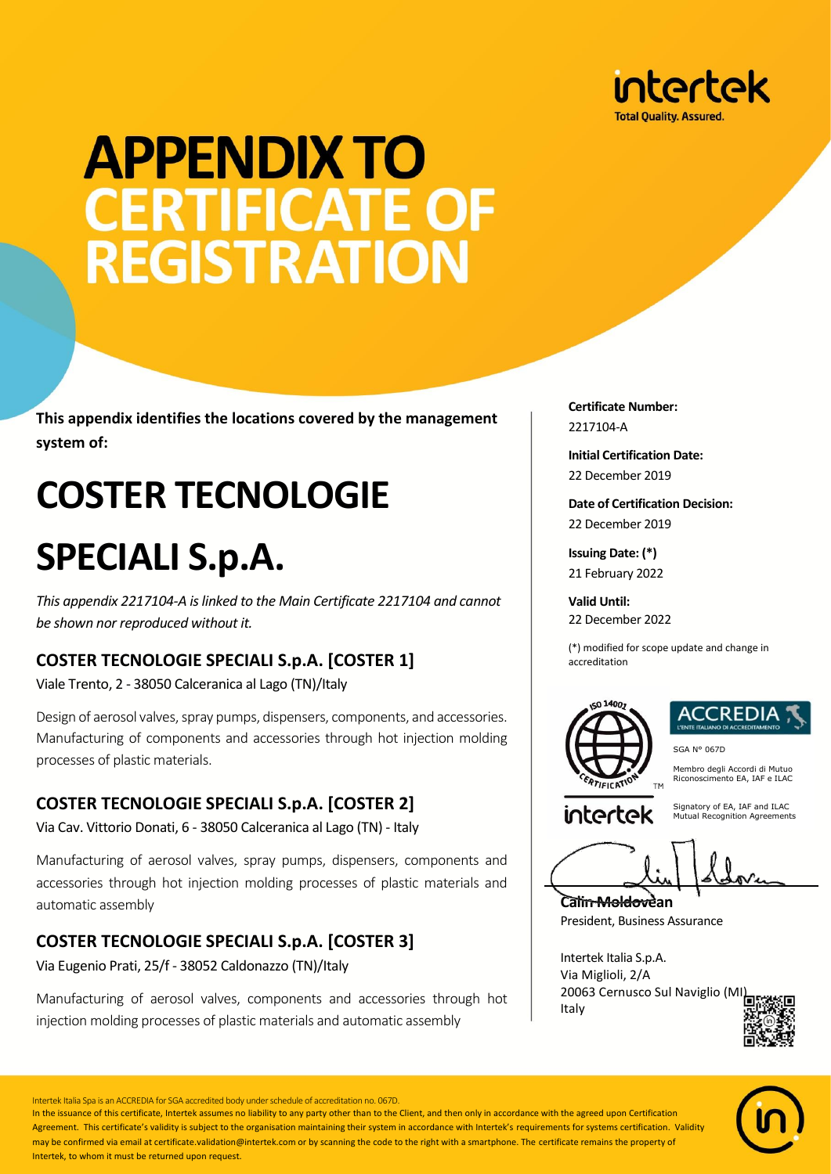

# **APPENDIX TO CERTIFICATE OF<br>REGISTRATION**

**This appendix identifies the locations covered by the management system of:**

## **COSTER TECNOLOGIE**

### **SPECIALI S.p.A.**

*This appendix 2217104-A is linked to the Main Certificate 2217104 and cannot be shown nor reproduced without it.*

#### **COSTER TECNOLOGIE SPECIALI S.p.A. [COSTER 1]**

Viale Trento, 2 - 38050 Calceranica al Lago (TN)/Italy

Design of aerosol valves, spray pumps, dispensers, components, and accessories. Manufacturing of components and accessories through hot injection molding processes of plastic materials.

#### **COSTER TECNOLOGIE SPECIALI S.p.A. [COSTER 2]**

Via Cav. Vittorio Donati, 6 - 38050 Calceranica al Lago (TN) - Italy

Manufacturing of aerosol valves, spray pumps, dispensers, components and accessories through hot injection molding processes of plastic materials and automatic assembly

#### **COSTER TECNOLOGIE SPECIALI S.p.A. [COSTER 3]**

Via Eugenio Prati, 25/f - 38052 Caldonazzo (TN)/Italy

Manufacturing of aerosol valves, components and accessories through hot injection molding processes of plastic materials and automatic assembly

**Certificate Number:** 2217104-A

**Initial Certification Date:** 22 December 2019

**Date of Certification Decision:** 22 December 2019

**Issuing Date: (\*)** 21 February 2022

**Valid Until:** 22 December 2022

(\*) modified for scope update and change in accreditation



### REDIA:

SGA N° 067D

Membro degli Accordi di Mutuo Riconoscimento EA, IAF e ILAC

intertek

Signatory of EA, IAF and ILAC Mutual Recognition Agreements

**Calin Moldovean**

**TM** 

President, Business Assurance

Intertek Italia S.p.A. Via Miglioli, 2/A 20063 Cernusco Sul Naviglio (M Italy





Intertek Italia Spa is an ACCREDIA for SGA accredited body under schedule of accreditation no. 067D.

In the issuance of this certificate, Intertek assumes no liability to any party other than to the Client, and then only in accordance with the agreed upon Certification Agreement. This certificate's validity is subject to the organisation maintaining their system in accordance with Intertek's requirements for systems certification. Validity may be confirmed via email at certificate.validation@intertek.com or by scanning the code to the right with a smartphone. The certificate remains the property of Intertek, to whom it must be returned upon request.